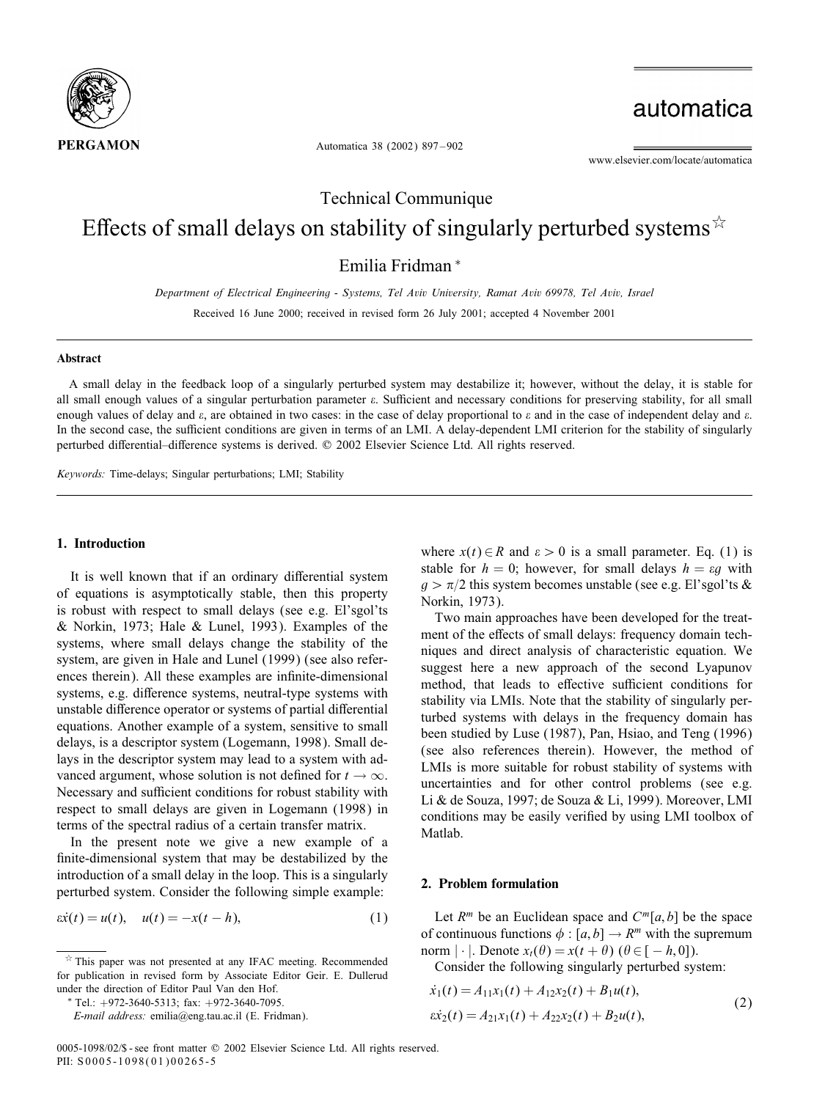

automatica

www.elsevier.com/locate/automatica

Automatica 38 (2002) 897 – 902

Technical Communique Effects of small delays on stability of singularly perturbed systems  $\hat{x}$ 

Emilia Fridman <sup>∗</sup>

*Department of Electrical Engineering - Systems, Tel Aviv University, Ramat Aviv 69978, Tel Aviv, Israel* Received 16 June 2000; received in revised form 26 July 2001; accepted 4 November 2001

#### Abstract

A small delay in the feedback loop of a singularly perturbed system may destabilize it; however, without the delay, it is stable for all small enough values of a singular perturbation parameter  $\varepsilon$ . Sufficient and necessary conditions for preserving stability, for all small enough values of delay and  $\varepsilon$ , are obtained in two cases: in the case of delay proportional to  $\varepsilon$  and in the case of independent delay and  $\varepsilon$ . In the second case, the sufficient conditions are given in terms of an LMI. A delay-dependent LMI criterion for the stability of singularly perturbed differential-difference systems is derived. @ 2002 Elsevier Science Ltd. All rights reserved.

*Keywords:* Time-delays; Singular perturbations; LMI; Stability

#### 1. Introduction

It is well known that if an ordinary differential system of equations is asymptotically stable, then this property is robust with respect to small delays (see e.g. El'sgol'ts & Norkin, 1973; Hale & Lunel, 1993). Examples of the systems, where small delays change the stability of the system, are given in Hale and Lunel (1999) (see also references therein). All these examples are infinite-dimensional systems, e.g. difference systems, neutral-type systems with unstable difference operator or systems of partial differential equations. Another example of a system, sensitive to small delays, is a descriptor system (Logemann, 1998). Small delays in the descriptor system may lead to a system with advanced argument, whose solution is not defined for  $t \to \infty$ . Necessary and sufficient conditions for robust stability with respect to small delays are given in Logemann (1998) in terms of the spectral radius of a certain transfer matrix.

In the present note we give a new example of a finite-dimensional system that may be destabilized by the introduction of a small delay in the loop. This is a singularly perturbed system. Consider the following simple example:

$$
\dot{x}(t) = u(t), \quad u(t) = -x(t - h), \tag{1}
$$

where  $x(t) \in R$  and  $\varepsilon > 0$  is a small parameter. Eq. (1) is stable for  $h = 0$ ; however, for small delays  $h = \varepsilon g$  with  $g > \pi/2$  this system becomes unstable (see e.g. El'sgol'ts & Norkin, 1973).

Two main approaches have been developed for the treatment of the effects of small delays: frequency domain techniques and direct analysis of characteristic equation. We suggest here a new approach of the second Lyapunov method, that leads to effective sufficient conditions for stability via LMIs. Note that the stability of singularly perturbed systems with delays in the frequency domain has been studied by Luse (1987), Pan, Hsiao, and Teng (1996) (see also references therein). However, the method of LMIs is more suitable for robust stability of systems with uncertainties and for other control problems (see e.g. Li & de Souza, 1997; de Souza & Li, 1999). Moreover, LMI conditions may be easily verified by using LMI toolbox of Matlab.

#### 2. Problem formulation

Let  $R^m$  be an Euclidean space and  $C^m[a, b]$  be the space of continuous functions  $\phi$ : [a, b]  $\rightarrow$  R<sup>m</sup> with the supremum norm  $|\cdot|$ . Denote  $x_t(\theta) = x(t + \theta)$  ( $\theta \in [-h, 0]$ ).

Consider the following singularly perturbed system:

$$
\begin{aligned} \dot{x}_1(t) &= A_{11}x_1(t) + A_{12}x_2(t) + B_1u(t), \\ \dot{x}_2(t) &= A_{21}x_1(t) + A_{22}x_2(t) + B_2u(t), \end{aligned} \tag{2}
$$

 $*$  This paper was not presented at any IFAC meeting. Recommended for publication in revised form by Associate Editor Geir. E. Dullerud under the direction of Editor Paul Van den Hof.

<sup>∗</sup> Tel.: +972-3640-5313; fax: +972-3640-7095.

*E-mail address:* emilia@eng.tau.ac.il (E. Fridman).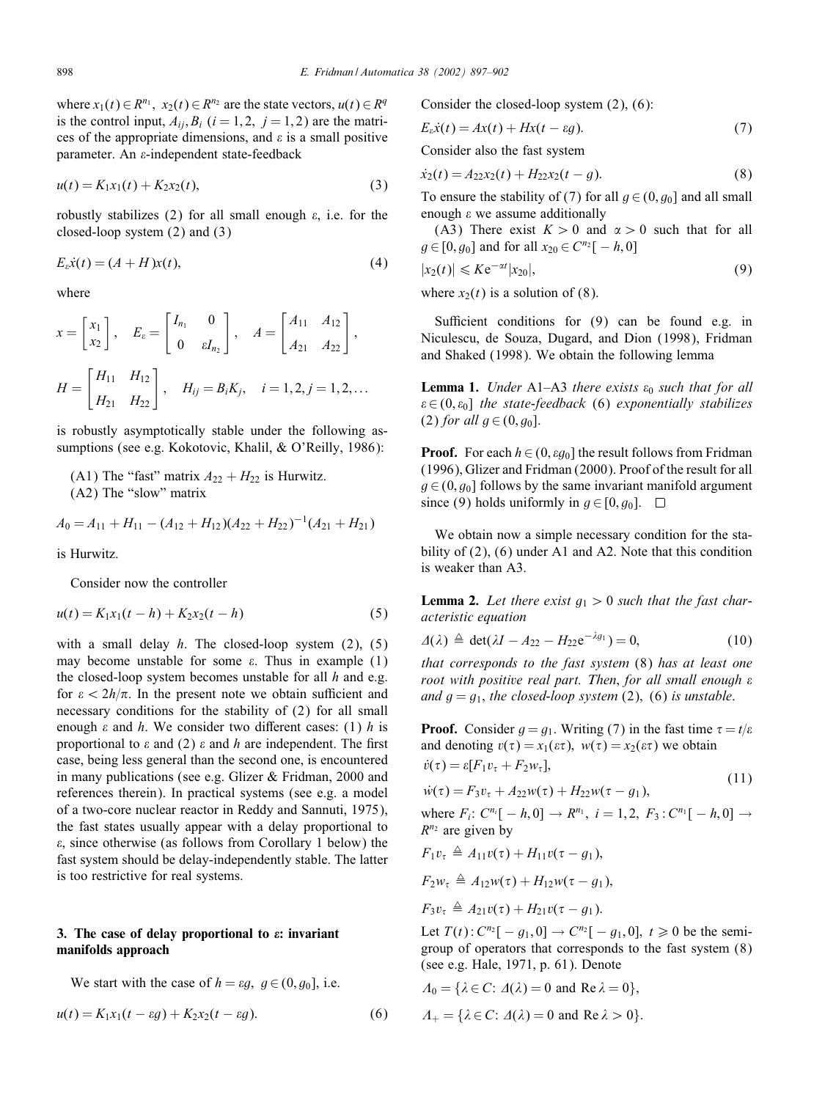where  $x_1(t) \in R^{n_1}$ ,  $x_2(t) \in R^{n_2}$  are the state vectors,  $u(t) \in R^q$ is the control input,  $A_{ii}$ ,  $B_i$  ( $i = 1, 2, j = 1, 2$ ) are the matrices of the appropriate dimensions, and  $\varepsilon$  is a small positive parameter. An  $\varepsilon$ -independent state-feedback

$$
u(t) = K_1 x_1(t) + K_2 x_2(t),
$$
\n(3)

robustly stabilizes (2) for all small enough  $\varepsilon$ , i.e. for the closed-loop system (2) and (3)

$$
E_{\varepsilon}\dot{x}(t) = (A + H)x(t),\tag{4}
$$

where

$$
x = \begin{bmatrix} x_1 \\ x_2 \end{bmatrix}, \quad E_{\varepsilon} = \begin{bmatrix} I_{n_1} & 0 \\ 0 & \varepsilon I_{n_2} \end{bmatrix}, \quad A = \begin{bmatrix} A_{11} & A_{12} \\ A_{21} & A_{22} \end{bmatrix},
$$

$$
H = \begin{bmatrix} H_{11} & H_{12} \\ H_{21} & H_{22} \end{bmatrix}, \quad H_{ij} = B_i K_j, \quad i = 1, 2, j = 1, 2, \dots
$$

is robustly asymptotically stable under the following assumptions (see e.g. Kokotovic, Khalil, & O'Reilly, 1986):

$$
A_0 = A_{11} + H_{11} - (A_{12} + H_{12})(A_{22} + H_{22})^{-1}(A_{21} + H_{21})
$$

is Hurwitz.

Consider now the controller

$$
u(t) = K_1 x_1(t - h) + K_2 x_2(t - h)
$$
\n(5)

with a small delay  $h$ . The closed-loop system (2), (5) may become unstable for some  $\varepsilon$ . Thus in example (1) the closed-loop system becomes unstable for all  $h$  and e.g. for  $\epsilon < 2h/\pi$ . In the present note we obtain sufficient and necessary conditions for the stability of (2) for all small enough  $\varepsilon$  and  $h$ . We consider two different cases: (1)  $h$  is proportional to  $\varepsilon$  and (2)  $\varepsilon$  and h are independent. The first case, being less general than the second one, is encountered in many publications (see e.g. Glizer & Fridman, 2000 and references therein). In practical systems (see e.g. a model of a two-core nuclear reactor in Reddy and Sannuti, 1975), the fast states usually appear with a delay proportional to  $\varepsilon$ , since otherwise (as follows from Corollary 1 below) the fast system should be delay-independently stable. The latter is too restrictive for real systems.

# 3. The case of delay proportional to  $\varepsilon$ : invariant manifolds approach

We start with the case of 
$$
h = \varepsilon g
$$
,  $g \in (0, g_0]$ , i.e.

$$
u(t) = K_1 x_1 (t - \varepsilon g) + K_2 x_2 (t - \varepsilon g).
$$
 (6)

Consider the closed-loop system (2), (6):

$$
E_{\varepsilon}\dot{x}(t) = Ax(t) + Hx(t - \varepsilon g). \tag{7}
$$

Consider also the fast system

$$
\dot{x}_2(t) = A_{22}x_2(t) + H_{22}x_2(t - g). \tag{8}
$$

To ensure the stability of (7) for all  $g \in (0, g_0]$  and all small enough  $\varepsilon$  we assume additionally

(A3) There exist  $K > 0$  and  $\alpha > 0$  such that for all  $g \in [0, g_0]$  and for all  $x_{20} \in C^{n_2}[-h, 0]$ 

$$
|x_2(t)| \leqslant K e^{-\alpha t} |x_{20}|,\tag{9}
$$

where  $x_2(t)$  is a solution of (8).

Sufficient conditions for  $(9)$  can be found e.g. in Niculescu, de Souza, Dugard, and Dion (1998), Fridman and Shaked (1998). We obtain the following lemma

**Lemma 1.** *Under* A1–A3 *there exists*  $\varepsilon_0$  *such that for all*  ∈(0; 0] *the state-feedback* (6) *exponentially stabilizes* (2) *for all*  $g \in (0, g_0]$ .

**Proof.** For each  $h \in (0, \varepsilon g_0]$  the result follows from Fridman (1996); Glizer and Fridman (2000). Proof of the result for all  $g \in (0, g_0]$  follows by the same invariant manifold argument since (9) holds uniformly in  $q \in [0, q_0]$ .  $\Box$ 

We obtain now a simple necessary condition for the stability of (2), (6) under A1 and A2. Note that this condition is weaker than A3.

**Lemma 2.** Let there exist  $g_1 > 0$  such that the fast char*acteristic equation*

$$
\Delta(\lambda) \triangleq \det(\lambda I - A_{22} - H_{22} e^{-\lambda g_1}) = 0, \qquad (10)
$$

*that corresponds to the fast system* (8) *has at least one root with positive real part. Then*; *for all small enough and*  $g = g_1$ *, the closed-loop system* (2), (6) *is unstable.* 

**Proof.** Consider  $g = g_1$ . Writing (7) in the fast time  $\tau = t/\varepsilon$ and denoting  $v(\tau) = x_1(\varepsilon \tau)$ ,  $w(\tau) = x_2(\varepsilon \tau)$  we obtain

$$
\dot{v}(\tau) = \varepsilon [F_1 v_\tau + F_2 w_\tau],\tag{11}
$$

$$
\dot{w}(\tau) = F_3 v_\tau + A_{22} w(\tau) + H_{22} w(\tau - g_1),\tag{11}
$$

where  $F_i$ :  $C^{n_i}[-h,0] \to R^{n_1}$ ,  $i = 1,2$ ,  $F_3$ :  $C^{n_1}[-h,0] \to$  $R^{n_2}$  are given by

$$
F_1v_\tau \triangleq A_{11}v(\tau) + H_{11}v(\tau - g_1),
$$

$$
F_2w_{\tau}\triangleq A_{12}w(\tau)+H_{12}w(\tau-g_1),
$$

$$
F_3v_\tau\triangleq A_{21}v(\tau)+H_{21}v(\tau-g_1).
$$

Let  $T(t)$ :  $C^{n_2}[-g_1, 0] \to C^{n_2}[-g_1, 0]$ ,  $t \ge 0$  be the semigroup of operators that corresponds to the fast system (8) (see e.g. Hale, 1971, p. 61). Denote

$$
A_0 = \{ \lambda \in C : \Delta(\lambda) = 0 \text{ and } \text{Re } \lambda = 0 \},
$$
  

$$
A_+ = \{ \lambda \in C : \Delta(\lambda) = 0 \text{ and } \text{Re } \lambda > 0 \}.
$$

<sup>(</sup>A1) The "fast" matrix  $A_{22} + H_{22}$  is Hurwitz. (A2) The "slow" matrix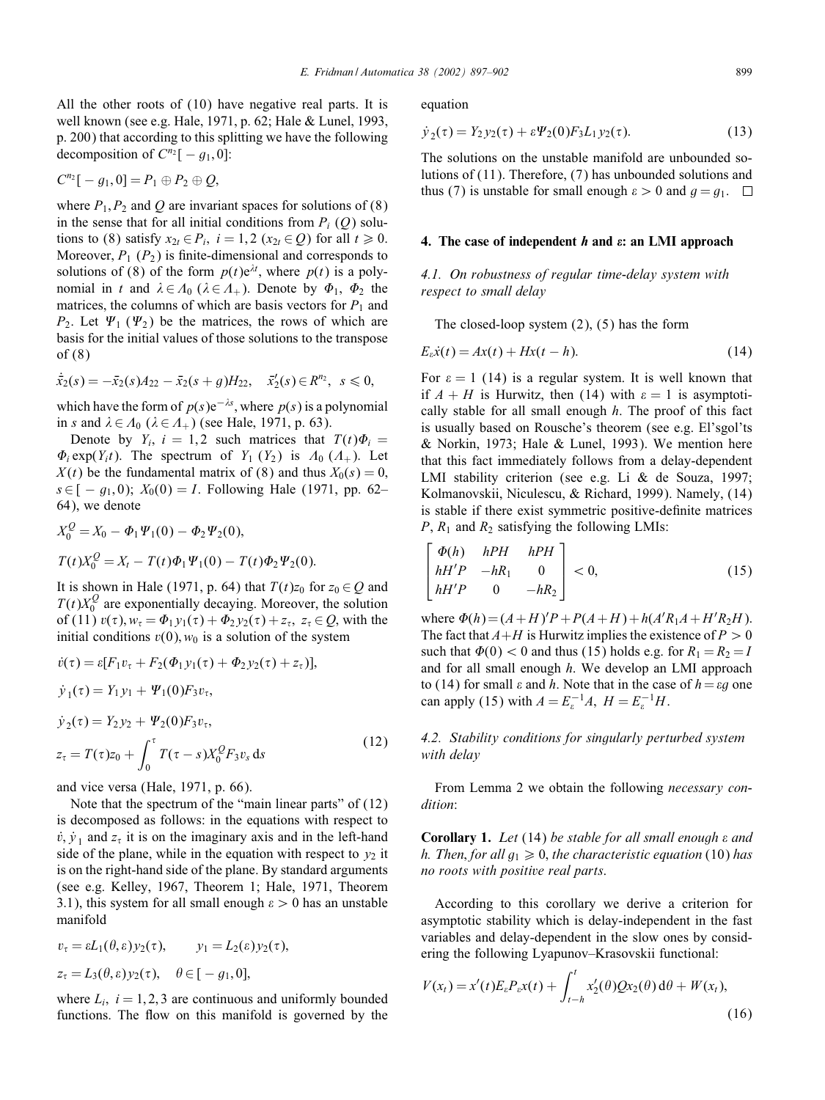All the other roots of (10) have negative real parts. It is well known (see e.g. Hale, 1971, p. 62; Hale & Lunel, 1993, p. 200) that according to this splitting we have the following decomposition of  $C^{n_2}[-q_1,0]$ :

$$
C^{n_2}[-g_1,0]=P_1\oplus P_2\oplus Q,
$$

where  $P_1$ ,  $P_2$  and Q are invariant spaces for solutions of (8) in the sense that for all initial conditions from  $P_i$  (Q) solutions to (8) satisfy  $x_{2t} \in P_i$ ,  $i = 1, 2$  ( $x_{2t} \in Q$ ) for all  $t \ge 0$ . Moreover,  $P_1$  ( $P_2$ ) is finite-dimensional and corresponds to solutions of (8) of the form  $p(t)e^{\lambda t}$ , where  $p(t)$  is a polynomial in t and  $\lambda \in A_0$  ( $\lambda \in A_+$ ). Denote by  $\Phi_1$ ,  $\Phi_2$  the matrices, the columns of which are basis vectors for  $P_1$  and  $P_2$ . Let  $\Psi_1$  ( $\Psi_2$ ) be the matrices, the rows of which are basis for the initial values of those solutions to the transpose of (8)

$$
\dot{\bar{x}}_2(s) = -\bar{x}_2(s)A_{22} - \bar{x}_2(s+g)H_{22}, \quad \bar{x}'_2(s) \in R^{n_2}, \quad s \leq 0,
$$

which have the form of  $p(s)e^{-\lambda s}$ , where  $p(s)$  is a polynomial in s and  $\lambda \in A_0$  ( $\lambda \in A_+$ ) (see Hale, 1971, p. 63).

Denote by  $Y_i$ ,  $i = 1, 2$  such matrices that  $T(t)\Phi_i =$  $\Phi_i$  exp(Y<sub>i</sub>t). The spectrum of Y<sub>1</sub> (Y<sub>2</sub>) is  $A_0$  ( $A_+$ ). Let  $X(t)$  be the fundamental matrix of (8) and thus  $X_0(s)=0$ ,  $s \in [-q_1, 0); X_0(0) = I$ . Following Hale (1971, pp. 62– 64), we denote

$$
X_0^Q = X_0 - \Phi_1 \Psi_1(0) - \Phi_2 \Psi_2(0),
$$
  
\n
$$
T(t)X_0^Q = X_t - T(t)\Phi_1 \Psi_1(0) - T(t)\Phi_2 \Psi_2(0).
$$

It is shown in Hale (1971, p. 64) that  $T(t)z_0$  for  $z_0 \in Q$  and  $T(t)X_0^Q$  are exponentially decaying. Moreover, the solution of (11)  $v(\tau)$ ,  $w_{\tau} = \Phi_1 y_1(\tau) + \Phi_2 y_2(\tau) + z_{\tau}$ ,  $z_{\tau} \in Q$ , with the initial conditions  $v(0)$ ,  $w_0$  is a solution of the system

$$
\dot{v}(\tau) = \varepsilon [F_1 v_\tau + F_2(\Phi_1 y_1(\tau) + \Phi_2 y_2(\tau) + z_\tau)],
$$
  
\n
$$
\dot{y}_1(\tau) = Y_1 y_1 + \Psi_1(0) F_3 v_\tau,
$$
  
\n
$$
\dot{y}_2(\tau) = Y_2 y_2 + \Psi_2(0) F_3 v_\tau,
$$
  
\n
$$
z_\tau = T(\tau) z_0 + \int^{\tau} T(\tau - s) X_0^Q F_3 v_s \, ds
$$
\n(12)

0 and vice versa (Hale, 1971, p. 66).

Note that the spectrum of the "main linear parts" of (12) is decomposed as follows: in the equations with respect to  $\dot{v}$ ,  $\dot{y}_1$  and  $z_\tau$  it is on the imaginary axis and in the left-hand side of the plane, while in the equation with respect to  $y_2$  it is on the right-hand side of the plane. By standard arguments (see e.g. Kelley, 1967, Theorem 1; Hale, 1971, Theorem 3.1), this system for all small enough  $\varepsilon > 0$  has an unstable manifold

$$
v_{\tau} = \varepsilon L_1(\theta, \varepsilon) y_2(\tau), \qquad y_1 = L_2(\varepsilon) y_2(\tau),
$$
  

$$
z_{\tau} = L_3(\theta, \varepsilon) y_2(\tau), \quad \theta \in [-g_1, 0],
$$

where  $L_i$ ,  $i = 1, 2, 3$  are continuous and uniformly bounded functions. The flow on this manifold is governed by the equation

$$
\dot{y}_2(\tau) = Y_2 y_2(\tau) + \varepsilon \Psi_2(0) F_3 L_1 y_2(\tau). \tag{13}
$$

The solutions on the unstable manifold are unbounded solutions of (11). Therefore, (7) has unbounded solutions and thus (7) is unstable for small enough  $\varepsilon > 0$  and  $g = g_1$ .  $\Box$ 

### 4. The case of independent  $h$  and  $\varepsilon$ : an LMI approach

*4.1. On robustness of regular time-delay system with respect to small delay*

The closed-loop system (2), (5) has the form

$$
E_{\varepsilon}\dot{x}(t) = Ax(t) + Hx(t - h). \tag{14}
$$

For  $\varepsilon = 1$  (14) is a regular system. It is well known that if  $A + H$  is Hurwitz, then (14) with  $\varepsilon = 1$  is asymptotically stable for all small enough  $h$ . The proof of this fact is usually based on Rousche's theorem (see e.g. El'sgol'ts & Norkin, 1973; Hale & Lunel, 1993). We mention here that this fact immediately follows from a delay-dependent LMI stability criterion (see e.g. Li & de Souza, 1997; Kolmanovskii, Niculescu, & Richard, 1999). Namely, (14) is stable if there exist symmetric positive-definite matrices  $P$ ,  $R_1$  and  $R_2$  satisfying the following LMIs:

$$
\begin{bmatrix}\n\Phi(h) & hPH & hPH \\
hH'P & -hR_1 & 0 \\
hH'P & 0 & -hR_2\n\end{bmatrix} < 0,\n\tag{15}
$$

where  $\Phi(h) = (A + H)'P + P(A + H) + h(A'R_1A + H'R_2H)$ . The fact that  $A+H$  is Hurwitz implies the existence of  $P > 0$ such that  $\Phi(0) < 0$  and thus (15) holds e.g. for  $R_1 = R_2 = I$ and for all small enough h. We develop an LMI approach to (14) for small  $\varepsilon$  and  $h$ . Note that in the case of  $h=\varepsilon g$  one can apply (15) with  $A = E_{\varepsilon}^{-1}A$ ,  $H = E_{\varepsilon}^{-1}H$ .

*4.2. Stability conditions for singularly perturbed system with delay*

From Lemma 2 we obtain the following *necessary condition*:

Corollary 1. *Let* (14) *be stable for all small enough and h. Then, for all*  $g_1 \geq 0$ , *the characteristic equation* (10) *has no roots with positive real parts*.

According to this corollary we derive a criterion for asymptotic stability which is delay-independent in the fast variables and delay-dependent in the slow ones by considering the following Lyapunov–Krasovskii functional:

$$
V(x_t) = x'(t)E_{\varepsilon}P_{\varepsilon}x(t) + \int_{t-h}^t x_2'(\theta)Qx_2(\theta) d\theta + W(x_t),
$$
\n(16)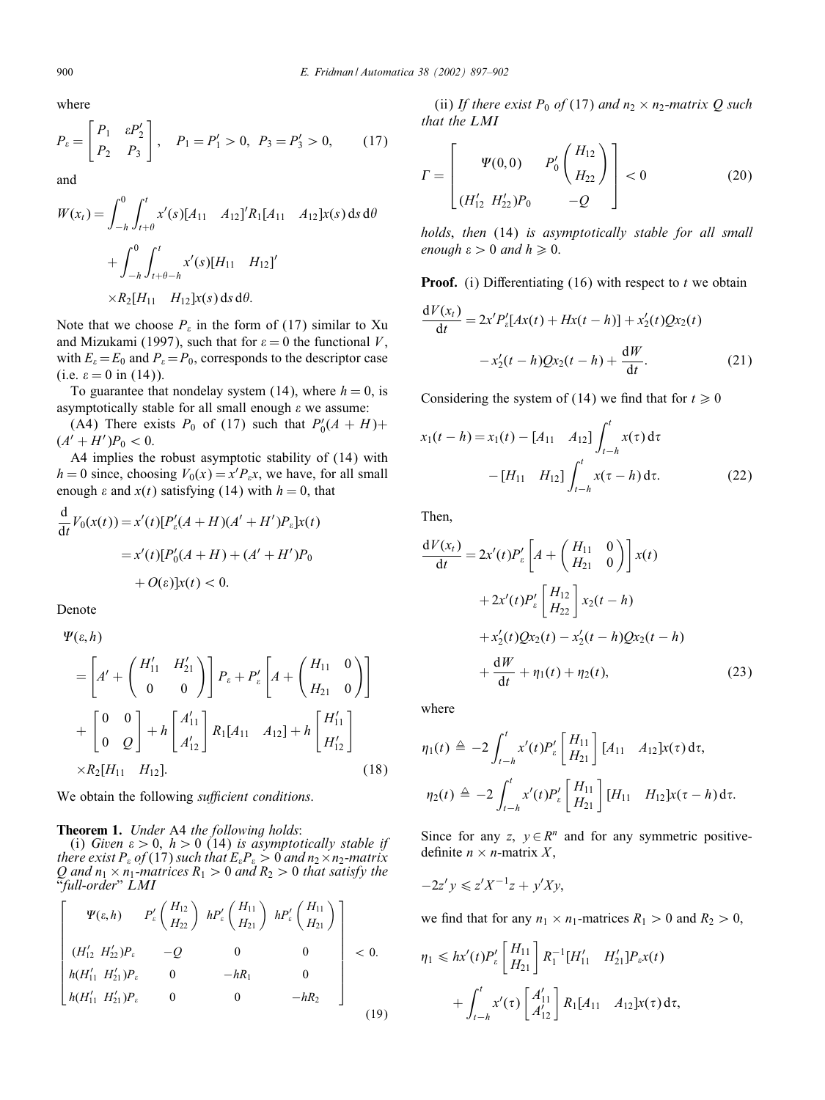where

$$
P_{\varepsilon} = \begin{bmatrix} P_1 & \varepsilon P_2' \\ P_2 & P_3 \end{bmatrix}, \quad P_1 = P_1' > 0, \ P_3 = P_3' > 0, \quad (17)
$$

and

$$
W(x_t) = \int_{-h}^{0} \int_{t+\theta}^{t} x'(s)[A_{11} \quad A_{12}]^{\prime} R_1[A_{11} \quad A_{12}]x(s) ds d\theta
$$
  
+ 
$$
\int_{-h}^{0} \int_{t+\theta-h}^{t} x'(s)[H_{11} \quad H_{12}]^{\prime}
$$
  

$$
\times R_2[H_{11} \quad H_{12}]x(s) ds d\theta.
$$

Note that we choose  $P_{\varepsilon}$  in the form of (17) similar to Xu and Mizukami (1997), such that for  $\varepsilon = 0$  the functional V, with  $E_{\varepsilon} = E_0$  and  $P_{\varepsilon} = P_0$ , corresponds to the descriptor case (i.e.  $\varepsilon = 0$  in (14)).

To guarantee that nondelay system (14), where  $h = 0$ , is asymptotically stable for all small enough  $\varepsilon$  we assume:

(A4) There exists  $P_0$  of (17) such that  $P'_0(A + H)$ +  $(A' + H')P_0 < 0.$ 

A4 implies the robust asymptotic stability of (14) with  $h = 0$  since, choosing  $V_0(x) = x' P_\varepsilon x$ , we have, for all small enough  $\varepsilon$  and  $x(t)$  satisfying (14) with  $h = 0$ , that

$$
\frac{d}{dt}V_0(x(t)) = x'(t)[P'_\varepsilon(A+H)(A'+H')P_\varepsilon]x(t)
$$
  
= x'(t)[P'\_0(A+H) + (A'+H')P\_0  
+ O(\varepsilon)]x(t) < 0.

Denote

$$
\Psi(\varepsilon, h) = \left[ A' + \begin{pmatrix} H'_{11} & H'_{21} \\ 0 & 0 \end{pmatrix} \right] P_{\varepsilon} + P'_{\varepsilon} \left[ A + \begin{pmatrix} H_{11} & 0 \\ H_{21} & 0 \end{pmatrix} \right]
$$
  
+ 
$$
\begin{bmatrix} 0 & 0 \\ 0 & Q \end{bmatrix} + h \begin{bmatrix} A'_{11} \\ A'_{12} \end{bmatrix} R_1 [A_{11} \ A_{12}] + h \begin{bmatrix} H'_{11} \\ H'_{12} \end{bmatrix}
$$
  
×
$$
R_2 [H_{11} \ H_{12}].
$$
 (18)

We obtain the following *sufficient conditions*.

Theorem 1. *Under* A4 *the following holds*:

(i) *Given*  $\varepsilon > 0$ ,  $h > 0$  (14) *is asymptotically stable if there exist*  $P_{\varepsilon}$  of (17) such that  $E_{\varepsilon}P_{\varepsilon}>0$  and  $n_2\times n_2$ -matrix Q and  $n_1 \times n_1$ -matrices  $R_1 > 0$  and  $R_2 > 0$  that satisfy the "full-order"  $LMI$ 

$$
\begin{bmatrix}\n\Psi(\varepsilon, h) & P'_{\varepsilon} \left( \frac{H_{12}}{H_{22}} \right) & h P'_{\varepsilon} \left( \frac{H_{11}}{H_{21}} \right) & h P'_{\varepsilon} \left( \frac{H_{11}}{H_{21}} \right) \\
(H'_{12} & H'_{22}) P_{\varepsilon} & -Q & 0 & 0 \\
h(H'_{11} & H'_{21}) P_{\varepsilon} & 0 & -hR_1 & 0 \\
h(H'_{11} & H'_{21}) P_{\varepsilon} & 0 & 0 & -hR_2\n\end{bmatrix} < 0.
$$
\n(19)

(ii) *If there exist*  $P_0$  *of* (17) *and*  $n_2 \times n_2$ *-matrix Q such that the LMI*

$$
\Gamma = \begin{bmatrix} \Psi(0,0) & P_0' \binom{H_{12}}{H_{22}} \\ (H_{12}' H_{22}')P_0 & -Q \end{bmatrix} < 0 \tag{20}
$$

*holds*, *then* (14) *is asymptotically stable for all small enough*  $\varepsilon > 0$  *and*  $h \ge 0$ .

**Proof.** (i) Differentiating  $(16)$  with respect to t we obtain

$$
\frac{dV(x_t)}{dt} = 2x'P'_e[Ax(t) + Hx(t-h)] + x'_2(t)Qx_2(t) - x'_2(t-h)Qx_2(t-h) + \frac{dW}{dt}.
$$
 (21)

Considering the system of (14) we find that for  $t \ge 0$ 

$$
x_1(t-h) = x_1(t) - [A_{11} \quad A_{12}] \int_{t-h}^t x(\tau) d\tau
$$

$$
- [H_{11} \quad H_{12}] \int_{t-h}^t x(\tau - h) d\tau.
$$
 (22)

Then;

$$
\frac{dV(x_t)}{dt} = 2x'(t)P'_\t{a}\left[A + \begin{pmatrix} H_{11} & 0 \\ H_{21} & 0 \end{pmatrix}\right]x(t)
$$
  
+2x'(t)P'\_\t{a}\left[H\_{12}\right]x\_2(t-h)  
+x'\_2(t)Qx\_2(t) - x'\_2(t-h)Qx\_2(t-h)  
+ \frac{dW}{dt} + \eta\_1(t) + \eta\_2(t), \tag{23}

where

$$
\eta_1(t) \triangleq -2 \int_{t-h}^t x'(t) P'_\varepsilon \begin{bmatrix} H_{11} \\ H_{21} \end{bmatrix} [A_{11} \ A_{12}] x(\tau) d\tau,
$$
  

$$
\eta_2(t) \triangleq -2 \int_{t-h}^t x'(t) P'_\varepsilon \begin{bmatrix} H_{11} \\ H_{21} \end{bmatrix} [H_{11} \ H_{12}] x(\tau - h) d\tau.
$$

Since for any z,  $y \in \mathbb{R}^n$  and for any symmetric positivedefinite  $n \times n$ -matrix X,

$$
-2z'y \leq z'X^{-1}z + y'Xy,
$$

we find that for any  $n_1 \times n_1$ -matrices  $R_1 > 0$  and  $R_2 > 0$ ,

$$
\eta_1 \leq h x'(t) P'_\varepsilon \begin{bmatrix} H_{11} \\ H_{21} \end{bmatrix} R_1^{-1} [H'_{11} \quad H'_{21}] P_\varepsilon x(t) + \int_{t-h}^t x'(\tau) \begin{bmatrix} A'_{11} \\ A'_{12} \end{bmatrix} R_1 [A_{11} \quad A_{12}] x(\tau) d\tau,
$$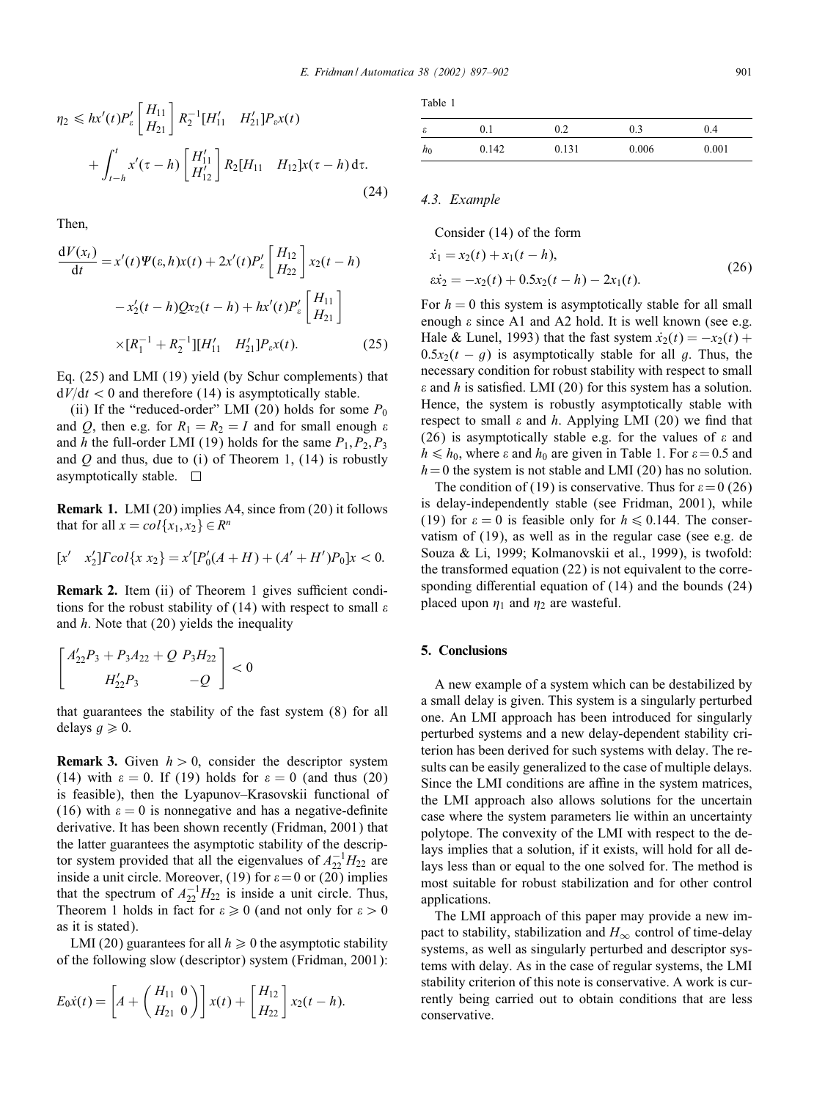$$
\eta_2 \leq h x'(t) P'_\varepsilon \begin{bmatrix} H_{11} \\ H_{21} \end{bmatrix} R_2^{-1} [H'_{11} \quad H'_{21}] P_\varepsilon x(t) + \int_{t-h}^t x'(\tau - h) \begin{bmatrix} H'_{11} \\ H'_{12} \end{bmatrix} R_2 [H_{11} \quad H_{12}] x(\tau - h) d\tau.
$$
\n(24)

Then;

$$
\frac{dV(x_t)}{dt} = x'(t)\Psi(\varepsilon, h)x(t) + 2x'(t)P'_{\varepsilon}\left[H_{22}\right]x_2(t - h) - x'_2(t - h)Qx_2(t - h) + hx'(t)P'_{\varepsilon}\left[H_{11}\right] \times[R_1^{-1} + R_2^{-1}][H'_{11} \quad H'_{21}]P_{\varepsilon}x(t).
$$
\n(25)

Eq. (25) and LMI (19) yield (by Schur complements) that  $dV/dt < 0$  and therefore (14) is asymptotically stable.

(ii) If the "reduced-order" LMI (20) holds for some  $P_0$ and Q, then e.g. for  $R_1 = R_2 = I$  and for small enough  $\varepsilon$ and h the full-order LMI (19) holds for the same  $P_1, P_2, P_3$ and  $Q$  and thus, due to (i) of Theorem 1, (14) is robustly asymptotically stable.  $\square$ 

Remark 1. LMI (20) implies A4, since from (20) it follows that for all  $x = col\{x_1, x_2\} \in \mathbb{R}^n$ 

$$
[x' \quad x_2'] \Gamma col \{x \ x_2\} = x' [P'_0(A+H) + (A'+H')P_0]x < 0.
$$

Remark 2. Item (ii) of Theorem 1 gives sufficient conditions for the robust stability of (14) with respect to small  $\varepsilon$ and  $h$ . Note that (20) yields the inequality

$$
\begin{bmatrix} A'_{22}P_3 + P_3A_{22} + Q & P_3H_{22} \\ H'_{22}P_3 & -Q \end{bmatrix} < 0
$$

that guarantees the stability of the fast system (8) for all delays  $q \ge 0$ .

**Remark 3.** Given  $h > 0$ , consider the descriptor system (14) with  $\varepsilon = 0$ . If (19) holds for  $\varepsilon = 0$  (and thus (20) is feasible); then the Lyapunov–Krasovskii functional of (16) with  $\varepsilon = 0$  is nonnegative and has a negative-definite derivative. It has been shown recently (Fridman; 2001) that the latter guarantees the asymptotic stability of the descriptor system provided that all the eigenvalues of  $A_{22}^{-1}H_{22}$  are inside a unit circle. Moreover, (19) for  $\varepsilon = 0$  or (20) implies that the spectrum of  $A_{22}^{-1}H_{22}$  is inside a unit circle. Thus, Theorem 1 holds in fact for  $\varepsilon \ge 0$  (and not only for  $\varepsilon > 0$ as it is stated).

LMI (20) guarantees for all  $h \ge 0$  the asymptotic stability of the following slow (descriptor) system (Fridman, 2001):

$$
E_0 \dot{x}(t) = \left[ A + \left( \begin{array}{c} H_{11} & 0 \\ H_{21} & 0 \end{array} \right) \right] x(t) + \left[ \begin{array}{c} H_{12} \\ H_{22} \end{array} \right] x_2(t-h).
$$

Table 1

| ε     | 0.1   | ∪.∠   | 0.3   | 0.4   |
|-------|-------|-------|-------|-------|
| $h_0$ | 0.142 | 0.131 | 0.006 | 0.001 |

## *4.3. Example*

Consider (14) of the form

$$
\begin{aligned} \dot{x}_1 &= x_2(t) + x_1(t - h), \\ \dot{x}_2 &= -x_2(t) + 0.5x_2(t - h) - 2x_1(t). \end{aligned} \tag{26}
$$

For  $h = 0$  this system is asymptotically stable for all small enough  $\varepsilon$  since A1 and A2 hold. It is well known (see e.g. Hale & Lunel, 1993) that the fast system  $\dot{x}_2(t) = -x_2(t) +$  $0.5x_2(t - g)$  is asymptotically stable for all g. Thus, the necessary condition for robust stability with respect to small  $\varepsilon$  and h is satisfied. LMI (20) for this system has a solution. Hence, the system is robustly asymptotically stable with respect to small  $\varepsilon$  and  $h$ . Applying LMI (20) we find that (26) is asymptotically stable e.g. for the values of  $\varepsilon$  and  $h \le h_0$ , where  $\varepsilon$  and  $h_0$  are given in Table 1. For  $\varepsilon = 0.5$  and  $h=0$  the system is not stable and LMI (20) has no solution.

The condition of (19) is conservative. Thus for  $\varepsilon = 0$  (26) is delay-independently stable (see Fridman, 2001), while (19) for  $\varepsilon = 0$  is feasible only for  $h \le 0.144$ . The conservatism of (19), as well as in the regular case (see e.g. de Souza & Li, 1999; Kolmanovskii et al., 1999), is twofold: the transformed equation (22) is not equivalent to the corresponding differential equation of  $(14)$  and the bounds  $(24)$ placed upon  $\eta_1$  and  $\eta_2$  are wasteful.

### 5. Conclusions

A new example of a system which can be destabilized by a small delay is given. This system is a singularly perturbed one. An LMI approach has been introduced for singularly perturbed systems and a new delay-dependent stability criterion has been derived for such systems with delay. The results can be easily generalized to the case of multiple delays. Since the LMI conditions are affine in the system matrices, the LMI approach also allows solutions for the uncertain case where the system parameters lie within an uncertainty polytope. The convexity of the LMI with respect to the delays implies that a solution, if it exists, will hold for all delays less than or equal to the one solved for. The method is most suitable for robust stabilization and for other control applications.

The LMI approach of this paper may provide a new impact to stability, stabilization and  $H_{\infty}$  control of time-delay systems, as well as singularly perturbed and descriptor systems with delay. As in the case of regular systems, the LMI stability criterion of this note is conservative. A work is currently being carried out to obtain conditions that are less conservative.